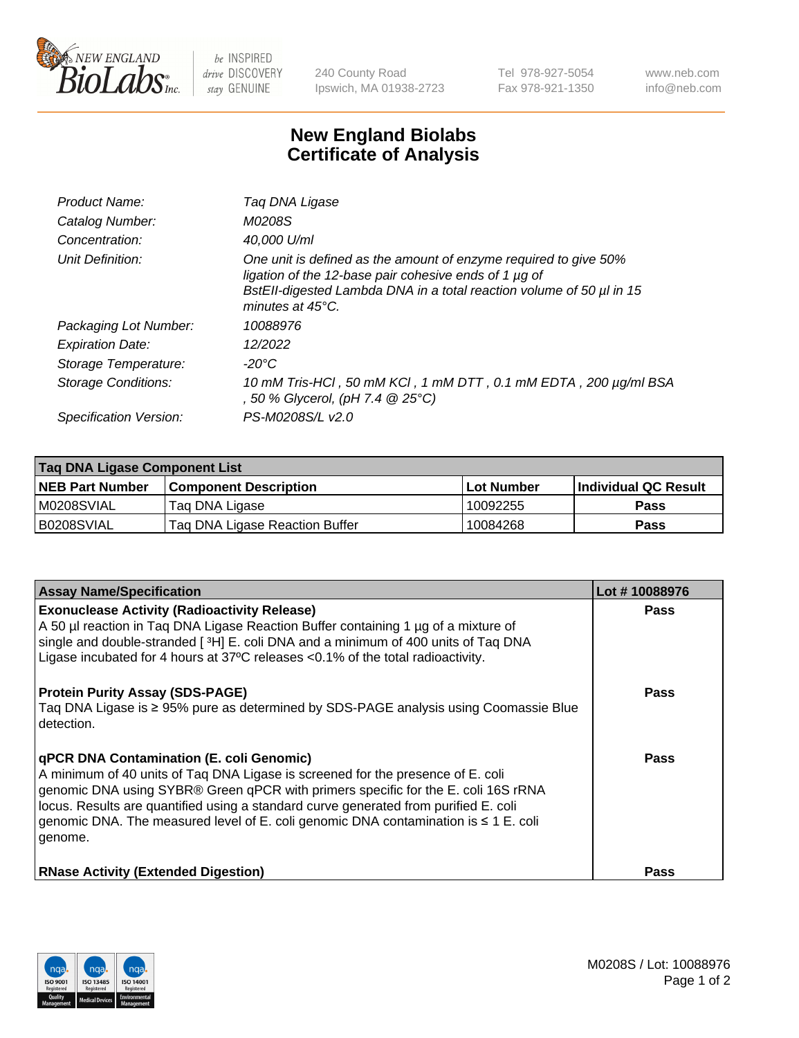

 $be$  INSPIRED drive DISCOVERY stay GENUINE

240 County Road Ipswich, MA 01938-2723 Tel 978-927-5054 Fax 978-921-1350 www.neb.com info@neb.com

## **New England Biolabs Certificate of Analysis**

| Product Name:              | Taq DNA Ligase                                                                                                                                                                                                                  |
|----------------------------|---------------------------------------------------------------------------------------------------------------------------------------------------------------------------------------------------------------------------------|
| Catalog Number:            | M0208S                                                                                                                                                                                                                          |
| Concentration:             | 40,000 U/ml                                                                                                                                                                                                                     |
| Unit Definition:           | One unit is defined as the amount of enzyme required to give 50%<br>ligation of the 12-base pair cohesive ends of 1 µg of<br>BstEll-digested Lambda DNA in a total reaction volume of 50 µl in 15<br>minutes at $45^{\circ}$ C. |
| Packaging Lot Number:      | 10088976                                                                                                                                                                                                                        |
| <b>Expiration Date:</b>    | 12/2022                                                                                                                                                                                                                         |
| Storage Temperature:       | $-20^{\circ}$ C                                                                                                                                                                                                                 |
| <b>Storage Conditions:</b> | 10 mM Tris-HCl, 50 mM KCl, 1 mM DTT, 0.1 mM EDTA, 200 µg/ml BSA<br>, 50 % Glycerol, (pH 7.4 @ 25°C)                                                                                                                             |
| Specification Version:     | PS-M0208S/L v2.0                                                                                                                                                                                                                |

| Taq DNA Ligase Component List |                                |            |                      |  |
|-------------------------------|--------------------------------|------------|----------------------|--|
| <b>NEB Part Number</b>        | <b>Component Description</b>   | Lot Number | Individual QC Result |  |
| IM0208SVIAL                   | Tag DNA Ligase                 | 10092255   | <b>Pass</b>          |  |
| B0208SVIAL                    | Taq DNA Ligase Reaction Buffer | 10084268   | Pass                 |  |

| <b>Assay Name/Specification</b>                                                                                                                                                                                                                                                                                                                                                                                        | Lot #10088976 |
|------------------------------------------------------------------------------------------------------------------------------------------------------------------------------------------------------------------------------------------------------------------------------------------------------------------------------------------------------------------------------------------------------------------------|---------------|
| <b>Exonuclease Activity (Radioactivity Release)</b><br>A 50 µl reaction in Taq DNA Ligase Reaction Buffer containing 1 µg of a mixture of<br>single and double-stranded [3H] E. coli DNA and a minimum of 400 units of Taq DNA<br>Ligase incubated for 4 hours at $37^{\circ}$ C releases < 0.1% of the total radioactivity.                                                                                           | <b>Pass</b>   |
| <b>Protein Purity Assay (SDS-PAGE)</b><br>Taq DNA Ligase is ≥ 95% pure as determined by SDS-PAGE analysis using Coomassie Blue<br>detection.                                                                                                                                                                                                                                                                           | <b>Pass</b>   |
| <b>qPCR DNA Contamination (E. coli Genomic)</b><br>A minimum of 40 units of Taq DNA Ligase is screened for the presence of E. coli<br>genomic DNA using SYBR® Green qPCR with primers specific for the E. coli 16S rRNA<br>locus. Results are quantified using a standard curve generated from purified E. coli<br>genomic DNA. The measured level of E. coli genomic DNA contamination is $\leq 1$ E. coli<br>genome. | Pass          |
| <b>RNase Activity (Extended Digestion)</b>                                                                                                                                                                                                                                                                                                                                                                             | <b>Pass</b>   |